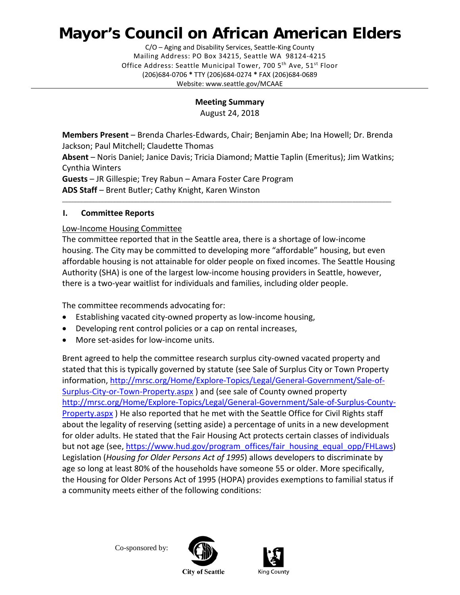# **Mayor's Council on African American Elders**

C/O – Aging and Disability Services, Seattle-King County Mailing Address: PO Box 34215, Seattle WA 98124-4215 Office Address: Seattle Municipal Tower, 700 5<sup>th</sup> Ave, 51<sup>st</sup> Floor (206)684-0706 **\*** TTY (206)684-0274 **\*** FAX (206)684-0689 Website: www.seattle.gov/MCAAE

### **Meeting Summary**

August 24, 2018

**Members Present** – Brenda Charles-Edwards, Chair; Benjamin Abe; Ina Howell; Dr. Brenda Jackson; Paul Mitchell; Claudette Thomas **Absent** – Noris Daniel; Janice Davis; Tricia Diamond; Mattie Taplin (Emeritus); Jim Watkins; Cynthia Winters **Guests** – JR Gillespie; Trey Rabun – Amara Foster Care Program **ADS Staff** – Brent Butler; Cathy Knight, Karen Winston

\_\_\_\_\_\_\_\_\_\_\_\_\_\_\_\_\_\_\_\_\_\_\_\_\_\_\_\_\_\_\_\_\_\_\_\_\_\_\_\_\_\_\_\_\_\_\_\_\_\_\_\_\_\_\_\_\_\_\_\_\_\_\_\_\_\_\_\_\_\_\_\_\_\_\_\_\_\_\_\_\_\_\_\_\_\_\_\_\_\_\_\_\_\_\_\_\_\_\_\_\_\_\_\_\_\_\_\_\_\_

## **I. Committee Reports**

#### Low-Income Housing Committee

The committee reported that in the Seattle area, there is a shortage of low-income housing. The City may be committed to developing more "affordable" housing, but even affordable housing is not attainable for older people on fixed incomes. The Seattle Housing Authority (SHA) is one of the largest low-income housing providers in Seattle, however, there is a two-year waitlist for individuals and families, including older people.

The committee recommends advocating for:

- Establishing vacated city-owned property as low-income housing,
- Developing rent control policies or a cap on rental increases,
- More set-asides for low-income units.

Brent agreed to help the committee research surplus city-owned vacated property and stated that this is typically governed by statute (see Sale of Surplus City or Town Property information, [http://mrsc.org/Home/Explore-Topics/Legal/General-Government/Sale-of-](http://mrsc.org/Home/Explore-Topics/Legal/General-Government/Sale-of-Surplus-City-or-Town-Property.aspx)[Surplus-City-or-Town-Property.aspx](http://mrsc.org/Home/Explore-Topics/Legal/General-Government/Sale-of-Surplus-City-or-Town-Property.aspx) ) and (see sale of County owned property [http://mrsc.org/Home/Explore-Topics/Legal/General-Government/Sale-of-Surplus-County-](http://mrsc.org/Home/Explore-Topics/Legal/General-Government/Sale-of-Surplus-County-Property.aspx)[Property.aspx](http://mrsc.org/Home/Explore-Topics/Legal/General-Government/Sale-of-Surplus-County-Property.aspx) ) He also reported that he met with the Seattle Office for Civil Rights staff about the legality of reserving (setting aside) a percentage of units in a new development for older adults. He stated that the Fair Housing Act protects certain classes of individuals but not age (see, [https://www.hud.gov/program\\_offices/fair\\_housing\\_equal\\_opp/FHLaws\)](https://www.hud.gov/program_offices/fair_housing_equal_opp/FHLaws) Legislation (*Housing for Older Persons Act of 1995*) allows developers to discriminate by age so long at least 80% of the households have someone 55 or older. More specifically, the Housing for Older Persons Act of 1995 (HOPA) provides exemptions to familial status if a community meets either of the following conditions:





**City of Seattle**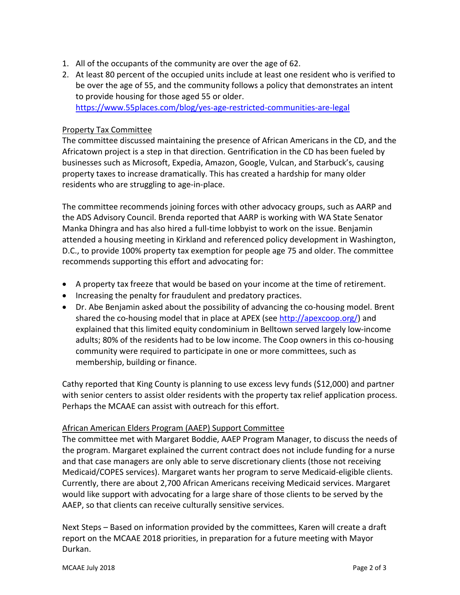- 1. All of the occupants of the community are over the age of 62.
- 2. At least 80 percent of the occupied units include at least one resident who is verified to be over the age of 55, and the community follows a policy that demonstrates an intent to provide housing for those aged 55 or older. <https://www.55places.com/blog/yes-age-restricted-communities-are-legal>

#### Property Tax Committee

The committee discussed maintaining the presence of African Americans in the CD, and the Africatown project is a step in that direction. Gentrification in the CD has been fueled by businesses such as Microsoft, Expedia, Amazon, Google, Vulcan, and Starbuck's, causing property taxes to increase dramatically. This has created a hardship for many older residents who are struggling to age-in-place.

The committee recommends joining forces with other advocacy groups, such as AARP and the ADS Advisory Council. Brenda reported that AARP is working with WA State Senator Manka Dhingra and has also hired a full-time lobbyist to work on the issue. Benjamin attended a housing meeting in Kirkland and referenced policy development in Washington, D.C., to provide 100% property tax exemption for people age 75 and older. The committee recommends supporting this effort and advocating for:

- A property tax freeze that would be based on your income at the time of retirement.
- Increasing the penalty for fraudulent and predatory practices.
- Dr. Abe Benjamin asked about the possibility of advancing the co-housing model. Brent shared the co-housing model that in place at APEX (see [http://apexcoop.org/\)](http://apexcoop.org/) and explained that this limited equity condominium in Belltown served largely low-income adults; 80% of the residents had to be low income. The Coop owners in this co-housing community were required to participate in one or more committees, such as membership, building or finance.

Cathy reported that King County is planning to use excess levy funds (\$12,000) and partner with senior centers to assist older residents with the property tax relief application process. Perhaps the MCAAE can assist with outreach for this effort.

#### African American Elders Program (AAEP) Support Committee

The committee met with Margaret Boddie, AAEP Program Manager, to discuss the needs of the program. Margaret explained the current contract does not include funding for a nurse and that case managers are only able to serve discretionary clients (those not receiving Medicaid/COPES services). Margaret wants her program to serve Medicaid-eligible clients. Currently, there are about 2,700 African Americans receiving Medicaid services. Margaret would like support with advocating for a large share of those clients to be served by the AAEP, so that clients can receive culturally sensitive services.

Next Steps – Based on information provided by the committees, Karen will create a draft report on the MCAAE 2018 priorities, in preparation for a future meeting with Mayor Durkan.